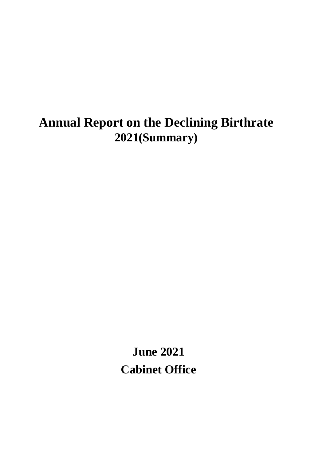# **Annual Report on the Declining Birthrate 2021(Summary)**

**June 2021 Cabinet Office**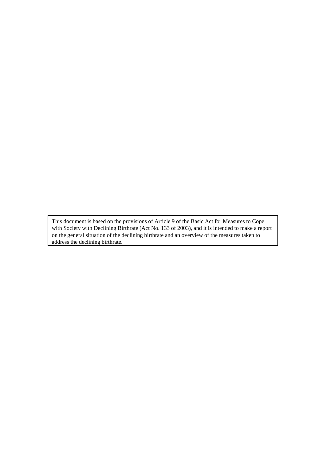This document is based on the provisions of Article 9 of the Basic Act for Measures to Cope with Society with Declining Birthrate (Act No. 133 of 2003), and it is intended to make a report on the general situation of the declining birthrate and an overview of the measures taken to address the declining birthrate.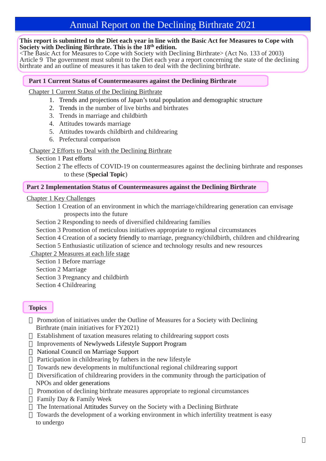## Annual Report on the Declining Birthrate 2021

#### **This report is submitted to the Diet each year in line with the Basic Act for Measures to Cope with Society with Declining Birthrate. This is the 18th edition.**

<The Basic Act for Measures to Cope with Society with Declining Birthrate> (Act No. 133 of 2003) Article 9 The government must submit to the Diet each year a report concerning the state of the declining birthrate and an outline of measures it has taken to deal with the declining birthrate.

## **Part 1 Current Status of Countermeasures against the Declining Birthrate**

## Chapter 1 Current Status of the Declining Birthrate

- 1. Trends and projections of Japan's total population and demographic structure
- 2. Trends in the number of live births and birthrates
- 3. Trends in marriage and childbirth
- 4. Attitudes towards marriage
- 5. Attitudes towards childbirth and childrearing
- 6. Prefectural comparison

## Chapter 2 Efforts to Deal with the Declining Birthrate

Section 1 Past efforts

Section 2 The effects of COVID-19 on countermeasures against the declining birthrate and responses to these (**Special Topic**)

## **Part 2 Implementation Status of Countermeasures against the Declining Birthrate**

Chapter 1 Key Challenges

Section 1 Creation of an environment in which the marriage/childrearing generation can envisage prospects into the future

- Section 2 Responding to needs of diversified childrearing families
- Section 3 Promotion of meticulous initiatives appropriate to regional circumstances
- Section 4 Creation of a society friendly to marriage, pregnancy/childbirth, children and childrearing
- Section 5 Enthusiastic utilization of science and technology results and new resources

Chapter 2 Measures at each life stage

- Section 1 Before marriage
- Section 2 Marriage
- Section 3 Pregnancy and childbirth
- Section 4 Childrearing

## **Topics**

Promotion of initiatives under the Outline of Measures for a Society with Declining Birthrate (main initiatives for FY2021)

Establishment of taxation measures relating to childrearing support costs

Improvements of Newlyweds Lifestyle Support Program

National Council on Marriage Support

Participation in childrearing by fathers in the new lifestyle

Towards new developments in multifunctional regional childrearing support

Diversification of childrearing providers in the community through the participation of NPOs and older generations

Promotion of declining birthrate measures appropriate to regional circumstances Family Day & Family Week

The International Attitudes Survey on the Society with a Declining Birthrate

Towards the development of a working environment in which infertility treatment is easy to undergo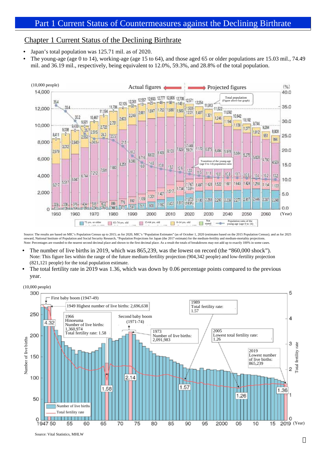## Chapter 1 Current Status of the Declining Birthrate

- Japan's total population was 125.71 mil. as of 2020.
- The young-age (age 0 to 14), working-age (age 15 to 64), and those aged 65 or older populations are 15.03 mil., 74.49 mil. and 36.19 mil., respectively, being equivalent to 12.0%, 59.3%, and 28.8% of the total population.



Source: The results are based on MIC's Population Census up to 2015; as for 2020, MIC's "Population Estimates" (as of October 1, 2020 (estimates based on the 2015 Population Census); and as for 2025<br>onward, National Instit Note: Percentages are rounded to the nearest second decimal place and shown to the first decimal place. As a result the totals of breakdowns may not add up to exactly 100% in some cases

- The number of live births in 2019, which was 865,239, was the lowest on record (the "860,000 shock"). Note: This figure lies within the range of the future medium-fertility projection (904,342 people) and low-fertility projection (821,121 people) for the total population estimate.
- The total fertility rate in 2019 was 1.36, which was down by 0.06 percentage points compared to the previous year.





Source: Vital Statistics, MHLW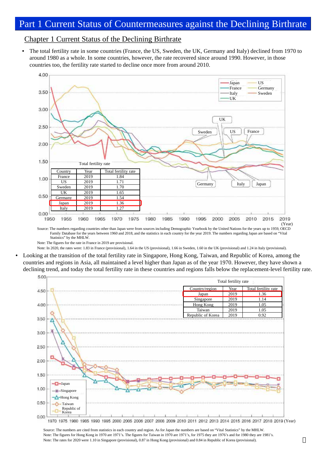## Part 1 Current Status of Countermeasures against the Declining Birthrate

## Chapter 1 Current Status of the Declining Birthrate

• The total fertility rate in some countries (France, the US, Sweden, the UK, Germany and Italy) declined from 1970 to around 1980 as a whole. In some countries, however, the rate recovered since around 1990. However, in those countries too, the fertility rate started to decline once more from around 2010.



Source: The numbers regarding countries other than Japan were from sources including Demographic Yearbook by the United Nations for the years up to 1959, OECD Family Database for the years between 1960 and 2018, and the statistics in each country for the year 2019. The numbers regarding Japan are based on "Vital Statistics" by the MHLW.

Note: The figures for the rate in France in 2019 are provisional.

Note: In 2020, the rates were: 1.83 in France (provisional), 1.64 in the US (provisional), 1.66 in Sweden, 1.60 in the UK (provisional) and 1.24 in Italy (provisional).

• Looking at the transition of the total fertility rate in Singapore, Hong Kong, Taiwan, and Republic of Korea, among the countries and regions in Asia, all maintained a level higher than Japan as of the year 1970. However, they have shown a declining trend, and today the total fertility rate in these countries and regions falls below the replacement-level fertility rate.



Source: The numbers are cited from statistics in each country and region. As for Japan the numbers are based on "Vital Statistics" by the MHLW. Note: The figures for Hong Kong in 1970 are 1971's. The figures for Taiwan in 1970 are 1971's, for 1975 they are 1976's and for 1980 they are 1981's. Note: The rates for 2020 were 1.10 in Singapore (provisional), 0.87 in Hong Kong (provisional) and 0.84 in Republic of Korea (provisional).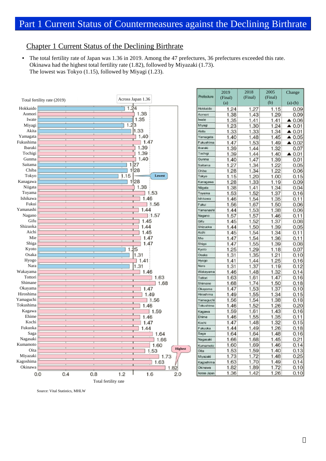## Chapter 1 Current Status of the Declining Birthrate

• The total fertility rate of Japan was 1.36 in 2019. Among the 47 prefectures, 36 prefectures exceeded this rate. Okinawa had the highest total fertility rate (1.82), followed by Miyazaki (1.73). The lowest was Tokyo (1.15), followed by Miyagi (1.23).



|              | 2019    | 2018    | 2005    | Change                |
|--------------|---------|---------|---------|-----------------------|
| Prefecture   | (Final) | (Final) | (Final) |                       |
|              | (a)     |         | (b)     | $(a)-(b)$             |
| Hokkaido     | 1.24    | 1.27    | 1.15    | 0.09                  |
| Aamoni       | 1.38    | 1.43    | 1.29    | 0.09                  |
| Iwate        | 1.35    | 1.41    | 1.41    | $\triangle$ 0.06      |
| Miyagi       | 1.23    | 1.30    | 1.24    | $\triangle$ 0.01      |
| Akita        | 1.33    | 1.33    | 1.34    | $\triangle$ 0.01      |
| Yamageta     | 1.40    | 1.48    | 1.45    | $\triangle$ 0.05      |
| Fukushima    | 1.47    | 1.53    | 1.49    | $\triangle$ 0.02      |
| Ibaraki      | 1.39    | 1.44    | 1.32    | 0.07                  |
| Tochigi      | 1.39    | 1.44    | 1.40    | $\blacktriangle$ 0.01 |
| Gunma        | 1.40    | 1.47    | 1.39    | 0.01                  |
| Saitama      | 1.27    | 1.34    | 1.22    | 0.05                  |
| Chiba        | 1.28    | 1.34    | 1.22    | 0.06                  |
| Tokyo        | 1.15    | 1.20    | 1.00    | 0.15                  |
| Kanagawa     | 1.28    | 1.33    | 1.19    | 0.09                  |
| Niigata      | 1.38    | 1.41    | 1.34    | 0.04                  |
| Toyama       | 1.53    | 1.52    | 1.37    | 0.16                  |
| Ishikawa     | 1.46    | 1.54    | 1.35    | 0.11                  |
| Fukui        | 1.56    | 1.67    | 1.50    | 0.06                  |
| Yamanashi    | 1.44    | 1.53    | 1.38    | 0.06                  |
| Nagano       | 1.57    | 1.57    | 1.46    | 0.11                  |
| Gifu         | 1.45    | 1.52    | 1.37    | 0.08                  |
| Shizuoka     | 1.44    | 1.50    | 1.39    | 0.05                  |
| Aichi        | 1.45    | 1.54    | 1.34    | 0.11                  |
| Mie          | 1.47    | 1.54    | 1.36    | 0.11                  |
| Shiga        | 1.47    | 1.55    | 1.39    | 0.08                  |
| Kyoto        | 1.25    | 1.29    | 1.18    | 0.07                  |
| Osaka        | 1.31    | 1.35    | 1.21    | 0.10                  |
| Hyogo        | 1.41    | 1.44    | 1.25    | 0.16                  |
| Nara         | 1.31    | 1.37    | 1.19    | 0.12                  |
| Wakayama     | 1.46    | 1.48    | 1.32    | 0.14                  |
| Tottori      | 1.63    | 1.61    | 1.47    | 0.16                  |
| Shimane      | 1.68    | 1.74    | 1.50    | 0.18                  |
| Okayama      | 1.47    | 1.53    | 1.37    | 0.10                  |
| Hiroshima    | 1.49    | 1.55    | 1.34    | 0.15                  |
| Yamaguchi    | 1.56    | 1.54    | 1.38    | 0.18                  |
| Tokushima    | 1.46    | 1.52    | 1.26    | 0.20                  |
| Kagawa       | 1.59    | 1.61    | 1.43    | 0.16                  |
| Ehime        | 1.46    | 1.55    | 1.35    | 0.11                  |
| Kochi        | 1.47    | 1.48    | 1.32    | 0.15                  |
| Fukuoka      | 1.44    | 1.49    | 1.26    | 0.18                  |
| Saga         | 1.64    | 1.64    | 1.48    | 0.16                  |
| Nagasaki     | 1.66    | 1.68    | 1.45    | 0.21                  |
| Kumamoto     | 1.60    | 1.69    | 1.46    | 0.14                  |
| Oita         | 1.53    | 1.59    | 1.40    | 0.13                  |
| Miyazaki     | 1.73    | 1.72    | 1.48    | 0.25                  |
| Kagoshima    | 1.63    | 1.70    | 1.49    | 0.14                  |
| Okinawa      | 1.82    | 1.89    | 1.72    | 0.10                  |
| Across Japan | 1.36    | 1.42    | 1.26    | 0.10                  |

Source: Vital Statistics, MHLW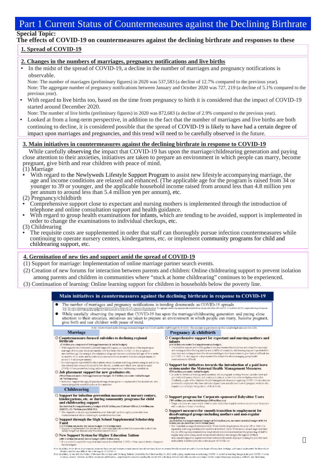## Part 1 Current Status of Countermeasures against the Declining Birthrate

## **Special Topic:**

## **The effects of COVID-19 on countermeasures against the declining birthrate and responses to these**

#### **1. Spread of COVID-19**

#### **2. Changes in the numbers of marriages, pregnancy notifications and live births**

In the midst of the spread of COVID-19, a decline in the number of marriages and pregnancy notifications is observable.

Note: The number of marriages (preliminary figures) in 2020 was 537,583 (a decline of 12.7% compared to the previous year). Note: The aggregate number of pregnancy notifications between January and October 2020 was 727, 219 (a decline of 5.1% compared to the previous year).

- With regard to live births too, based on the time from pregnancy to birth it is considered that the impact of COVID-19 started around December 2020.
- Note: The number of live births (preliminary figures) in 2020 was 872,683 (a decline of 2.9% compared to the previous year).
- Looked at from a long-term perspective, in addition to the fact that the number of marriages and live births are both continuing to decline, it is considered possible that the spread of COVID-19 is likely to have had a certain degree of impact upon marriages and pregnancies, and this trend will need to be carefully observed in the future.

#### **3. Main initiatives in countermeasures against the declining birthrate in response to COVID-19**

While carefully observing the impact that COVID-19 has upon the marriage/childrearing generation and paying close attention to their anxieties, initiatives are taken to prepare an environment in which people can marry, become pregnant, give birth and rear children with peace of mind.

- (1) Marriage
- With regard to the Newlyweds Lifestyle Support Program to assist new lifestyle accompanying marriage, the age and income conditions are relaxed and enhanced. (The applicable age for the program is raised from 34 or younger to 39 or younger, and the applicable household income raised from around less than 4.8 million yen per annum to around less than 5.4 million yen per annum), etc. (2) Pregnancy/childbirth
- 
- Comprehensive support close to expectant and nursing mothers is implemented through the introduction of
- With regard to group health examinations for infants, which are tending to be avoided, support is implemented in order to change the examinations to individual checkups, etc.
- (3) Childrearing
- The requisite costs are supplemented in order that staff can thoroughly pursue infection countermeasures while continuing to operate nursery centers, kindergartens, etc. or implement community programs for child and childrearing support, etc.

#### **4. Germination of new ties and support amid the spread of COVID-19**

- (1) Support for marriage: Implementation of online marriage partner search events.
- (2) Creation of new forums for interaction between parents and children: Online childrearing support to prevent isolation among parents and children in communities where "stuck at home childrearing" continues to be experienced.
- (3) Continuation of learning: Online learning support for children in households below the poverty line.

#### Main initiatives in countermeasures against the declining birthrate in response to COVID-19

The number of marriages and pregnancy notifications is trending downwards as COVID-19 spreads.<br>In Remoderation of the state of the second margin the contraction of the contract of the state of the state of  $\overline{\bullet}$ While carefully observing the impact that COVID-19 has upon the marriage/childrearing generation and paying close attention to their anxieties, initiatives are taken to prepare an environment in which people can marry, bec  $\bullet$ give birth and rear children with peace of mind. Note: Createsbaped on the Ard rupplementary budget for FY2020 and the draft budget for FY2021. The amounts in parentherer are the initial budget amounts for 202 Pregnancy & childbirth Marriage  $\bigcirc$  Countermeasure-focused subsidies to declining regional birthrate O Comprehensive support for expectant and nursing mothers and **CONDITE THE CONSTRAINT OF A SUBSTRAINS TO METALLY AND STATE OF A SUBSTRAINTY CONTINUE (2)** SUBSTRAINTING THE CONDITENT OF A SUBSTRAINTY OF THE SUBSTRAINTY OF THE SUBSTRAINTY OF THE SUBSTRAINTY OF THE SUBSTRAINTY OF THE S infants  $\begin{minipage}[t]{0.9\textwidth}\begin{itemize} \textbf{[GAL]}\textbf{[1]}\textbf{[1]}\textbf{[1]}\textbf{[1]}\textbf{[1]}\textbf{[1]}\textbf{[1]}\textbf{[1]}\textbf{[1]}\textbf{[1]}\textbf{[1]}\textbf{[1]}\textbf{[1]}\textbf{[1]}\textbf{[1]}\textbf{[1]}\textbf{[1]}\textbf{[1]}\textbf{[1]}\textbf{[1]}\textbf{[1]}\textbf{[1]}\textbf{[1]}\textbf{[1]}\textbf{[1]}\textbf{[1]}\textbf{[1]}\text$ O **Support for initiatives towards the introduction of a paid leave system under the Maternal Health Management Measures 600 milliongsus-individually the introduction of a paid of the property in celestic develop a workin**  $\bigcirc$  Job placement support for new graduates etc. on yen under 3rd supplementary budget, 10.2 billion yen under Initial budget (OO milling you under 3ed supplementary budget, 10.2 billion you under Indial budget<br>(8.7 billion you)<br>• holmdual support through job placement support navigators is implemented for students etc. who<br>- annot adequately sea **Childrearing** ○ Support for infection prevention measures at nursery centers, O Support program for Corporate-sponsored Babysitter Users **upport program for Corporate-sponsored Babysitter Users**<br><sup>80</sup> million years under initial badget (380 million yea)<br>Dage rabision are insproved in order to make babysitter dupatch survives ousier to use for people<br>with a v rgartens, etc. or during community programs for child and childrearing support and childrearing support<br> $\label{eq:2} \begin{array}{ll} \mbox{and the following sequence of G32 billion-yen (Cubinet Office), 2.4 billion-yen (Gublinet Office), 2.4 billion-yen (GubX7), 11.7 billion-yen OHELW)\\ \mbox{of E3.7-yall} & \mbox{of the sequence of the two time-symmetry of the C01000} \\ \mbox{coefficient cost} & \mbox{of the continuous value of the two time of the C01000} \\ \mbox{coefficient cost} & \mbox{of the two time-symmetry of the C01000} \\ \mbox{of the two time-symmetry of the O10$ ○ Support measures for smooth transition to employment for disadvantaged groups including mothers and non-regular orasis transmages to ga wapes ancientaming anomics is mate around expense.<br>Clinical distribution of a supplementary bodger of 210 million yen, included in initial budget of 83.14<br>billion yen (included in 124.11 billion yen ○ Support through the High School Supplemental Scholarship Included in 3rd supplementary busingt of 210 multima yen, included in initial budget of 83.14<br>sidima yen, (included in 124.11 billion yen)<br> $\gamma$  The consultation regard system at Hello Werk (2-bid). Encolormized free<br>until **CASP billion year under the initial budget (13.6 billion year)**<br>  $\frac{1}{2}$  appear is implemented for educational controller than taking of the households in which the<br>
family budget has dramatically worsened rince FT2020 O New Support System for Higher Education Tuition 480.4 billion yen under initial badget (488.2 billion yen))<br>It is possible to apply for support at any time in the event that COVID-19 has oxased drastic changes to family budgets For in addition to the short that we are found to the second the state of the control of the control of the control of the control of the control of the control of the control of the control of the control of the control o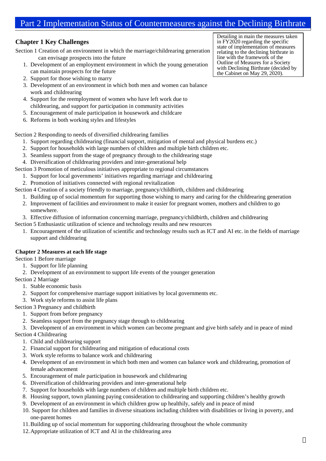## Part 2 Implementation Status of Countermeasures against the Declining Birthrate

#### **Chapter 1 Key Challenges**

Section 1 Creation of an environment in which the marriage/childrearing generation can envisage prospects into the future

- 1. Development of an employment environment in which the young generation can maintain prospects for the future
- 2. Support for those wishing to marry
- 3. Development of an environment in which both men and women can balance work and childrearing
- 4. Support for the reemployment of women who have left work due to childrearing, and support for participation in community activities
- 5. Encouragement of male participation in housework and childcare
- 6. Reforms in both working styles and lifestyles

Section 2 Responding to needs of diversified childrearing families

- 1. Support regarding childrearing (financial support, mitigation of mental and physical burdens etc.)
- 2. Support for households with large numbers of children and multiple birth children etc.
- 3. Seamless support from the stage of pregnancy through to the childrearing stage
- 4. Diversification of childrearing providers and inter-generational help
- Section 3 Promotion of meticulous initiatives appropriate to regional circumstances
	- 1. Support for local governments' initiatives regarding marriage and childrearing
	- 2. Promotion of initiatives connected with regional revitalization
- Section 4 Creation of a society friendly to marriage, pregnancy/childbirth, children and childrearing
	- 1. Building up of social momentum for supporting those wishing to marry and caring for the childrearing generation
	- 2. Improvement of facilities and environment to make it easier for pregnant women, mothers and children to go somewhere.
	- 3. Effective diffusion of information concerning marriage, pregnancy/childbirth, children and childrearing
- Section 5 Enthusiastic utilization of science and technology results and new resources
	- 1. Encouragement of the utilization of scientific and technology results such as ICT and AI etc. in the fields of marriage support and childrearing

#### **Chapter 2 Measures at each life stage**

Section 1 Before marriage

- 1. Support for life planning
- 2. Development of an environment to support life events of the younger generation

Section 2 Marriage

- 1. Stable economic basis
- 2. Support for comprehensive marriage support initiatives by local governments etc.
- 3. Work style reforms to assist life plans

Section 3 Pregnancy and childbirth

- 1. Support from before pregnancy
- 2. Seamless support from the pregnancy stage through to childrearing

3. Development of an environment in which women can become pregnant and give birth safely and in peace of mind

- Section 4 Childrearing
	- 1. Child and childrearing support
	- 2. Financial support for childrearing and mitigation of educational costs
	- 3. Work style reforms to balance work and childrearing
	- 4. Development of an environment in which both men and women can balance work and childrearing, promotion of female advancement
	- 5. Encouragement of male participation in housework and childrearing
	- 6. Diversification of childrearing providers and inter-generational help
	- 7. Support for households with large numbers of children and multiple birth children etc.
	- 8. Housing support, town planning paying consideration to childrearing and supporting children's healthy growth
	- 9. Development of an environment in which children grow up healthily, safely and in peace of mind
	- 10. Support for children and families in diverse situations including children with disabilities or living in poverty, and one-parent homes
	- 11.Building up of social momentum for supporting childrearing throughout the whole community
	- 12.Appropriate utilization of ICT and AI in the childrearing area

Detailing in main the measures taken in FY2020 regarding the specific state of implementation of measures relating to the declining birthrate in line with the framework of the Outline of Measures for a Society with Declining Birthrate (decided by the Cabinet on May 29, 2020).